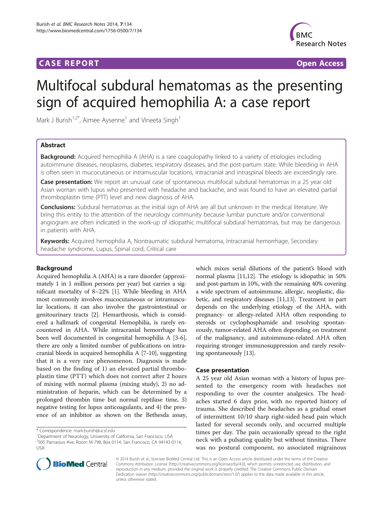# **CASE REPORT CASE REPORT CASE REPORT**



# Multifocal subdural hematomas as the presenting sign of acquired hemophilia A: a case report

Mark J Burish<sup>1,2\*</sup>, Aimee Aysenne<sup>1</sup> and Vineeta Singh<sup>1</sup>

# Abstract

**Background:** Acquired hemophilia A (AHA) is a rare coagulopathy linked to a variety of etiologies including autoimmune diseases, neoplasms, diabetes, respiratory diseases, and the post-partum state. While bleeding in AHA is often seen in mucocutaneous or intramuscular locations, intracranial and intraspinal bleeds are exceedingly rare.

**Case presentation:** We report an unusual case of spontaneous multifocal subdural hematomas in a 25 year old Asian woman with lupus who presented with headache and backache, and was found to have an elevated partial thromboplastin time (PTT) level and new diagnosis of AHA.

**Conclusions:** Subdural hematomas as the initial sign of AHA are all but unknown in the medical literature. We bring this entity to the attention of the neurology community because lumbar puncture and/or conventional angiogram are often indicated in the work-up of idiopathic multifocal subdural hematomas, but may be dangerous in patients with AHA.

Keywords: Acquired hemophilia A, Nontraumatic subdural hematoma, Intracranial hemorrhage, Secondary headache syndrome, Lupus, Spinal cord, Critical care

# Background

Acquired hemophilia A (AHA) is a rare disorder (approximately 1 in 1 million persons per year) but carries a significant mortality of 8–22% [\[1](#page-3-0)]. While bleeding in AHA most commonly involves mucocutaneous or intramuscular locations, it can also involve the gastrointestinal or genitourinary tracts [\[2\]](#page-3-0). Hemarthrosis, which is considered a hallmark of congenital Hemophilia, is rarely encountered in AHA. While intracranial hemorrhage has been well documented in congenital hemophilia A [\[3](#page-3-0)-[6](#page-3-0)], there are only a limited number of publications on intracranial bleeds in acquired hemophilia A [[7-10\]](#page-3-0), suggesting that it is a very rare phenomenon. Diagnosis is made based on the finding of 1) an elevated partial thromboplastin time (PTT) which does not correct after 2 hours of mixing with normal plasma (mixing study), 2) no administration of heparin, which can be determined by a prolonged thrombin time but normal reptilase time, 3) negative testing for lupus anticoagulants, and 4) the presence of an inhibitor as shown on the Bethesda assay,

which mixes serial dilutions of the patient's blood with normal plasma [\[11,12\]](#page-3-0). The etiology is idiopathic in 50% and post-partum in 10%, with the remaining 40% covering a wide spectrum of autoimmune, allergic, neoplastic, diabetic, and respiratory diseases [\[11,13](#page-3-0)]. Treatment in part depends on the underlying etiology of the AHA, with pregnancy- or allergy-related AHA often responding to steroids or cyclophosphamide and resolving spontaneously, tumor-related AHA often depending on treatment of the malignancy, and autoimmune-related AHA often requiring stronger immunosuppression and rarely resolving spontaneously [\[13](#page-3-0)].

## Case presentation

A 25 year old Asian woman with a history of lupus presented to the emergency room with headaches not responding to over the counter analgesics. The headaches started 6 days prior, with no reported history of trauma. She described the headaches as a gradual onset of intermittent 10/10 sharp right-sided head pain which lasted for several seconds only, and occurred multiple times per day. The pain occasionally spread to the right neck with a pulsating quality but without tinnitus. There was no postural component, no associated migrainous



© 2014 Burish et al.; licensee BioMed Central Ltd. This is an Open Access article distributed under the terms of the Creative Commons Attribution License [\(http://creativecommons.org/licenses/by/4.0\)](http://creativecommons.org/licenses/by/4.0), which permits unrestricted use, distribution, and reproduction in any medium, provided the original work is properly credited. The Creative Commons Public Domain Dedication waiver [\(http://creativecommons.org/publicdomain/zero/1.0/](http://creativecommons.org/publicdomain/zero/1.0/)) applies to the data made available in this article, unless otherwise stated.

<sup>\*</sup> Correspondence: [mark.burish@ucsf.edu](mailto:mark.burish@ucsf.edu) <sup>1</sup>

<sup>&</sup>lt;sup>1</sup>Department of Neurology, University of California, San Francisco, USA 2 505 Parnassus Ave, Room M-798, Box 0114, San Francisco, CA 94143-0114, USA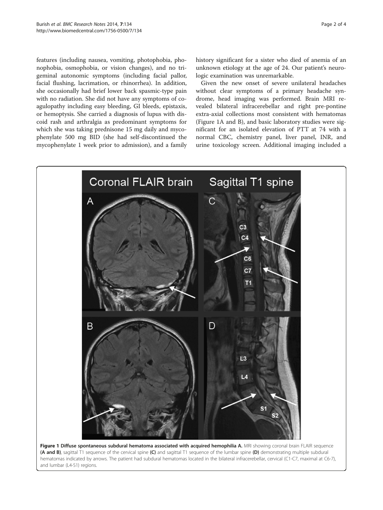<span id="page-1-0"></span>features (including nausea, vomiting, photophobia, phonophobia, osmophobia, or vision changes), and no trigeminal autonomic symptoms (including facial pallor, facial flushing, lacrimation, or rhinorrhea). In addition, she occasionally had brief lower back spasmic-type pain with no radiation. She did not have any symptoms of coagulopathy including easy bleeding, GI bleeds, epistaxis, or hemoptysis. She carried a diagnosis of lupus with discoid rash and arthralgia as predominant symptoms for which she was taking prednisone 15 mg daily and mycophenylate 500 mg BID (she had self-discontinued the mycophenylate 1 week prior to admission), and a family history significant for a sister who died of anemia of an unknown etiology at the age of 24. Our patient's neurologic examination was unremarkable.

Given the new onset of severe unilateral headaches without clear symptoms of a primary headache syndrome, head imaging was performed. Brain MRI revealed bilateral infracerebellar and right pre-pontine extra-axial collections most consistent with hematomas (Figure 1A and B), and basic laboratory studies were significant for an isolated elevation of PTT at 74 with a normal CBC, chemistry panel, liver panel, INR, and urine toxicology screen. Additional imaging included a

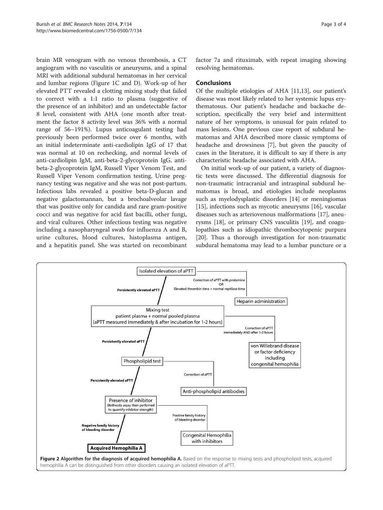<span id="page-2-0"></span>brain MR venogram with no venous thrombosis, a CT angiogram with no vasculitis or aneurysms, and a spinal MRI with additional subdural hematomas in her cervical and lumbar regions (Figure [1](#page-1-0)C and D). Work-up of her elevated PTT revealed a clotting mixing study that failed to correct with a 1:1 ratio to plasma (suggestive of the presence of an inhibitor) and an undetectable factor 8 level, consistent with AHA (one month after treatment the factor 8 activity level was 36% with a normal range of 56–191%). Lupus anticoagulant testing had previously been performed twice over 6 months, with an initial indeterminate anti-cardiolipin IgG of 17 that was normal at 10 on rechecking, and normal levels of anti-cardiolipin IgM, anti-beta-2-glycoprotein IgG, antibeta-2-glycoprotein IgM, Russell Viper Venom Test, and Russell Viper Venom confirmation testing. Urine pregnancy testing was negative and she was not post-partum. Infectious labs revealed a positive beta-D-glucan and negative galactomannan, but a brochoalveolar lavage that was positive only for candida and rare gram-positive cocci and was negative for acid fast bacilli, other fungi, and viral cultures. Other infectious testing was negative including a nasopharyngeal swab for influenza A and B, urine cultures, blood cultures, histoplasma antigen, and a hepatitis panel. She was started on recombinant

factor 7a and rituximab, with repeat imaging showing resolving hematomas.

## Conclusions

Of the multiple etiologies of AHA [\[11,13](#page-3-0)], our patient's disease was most likely related to her systemic lupus erythematosus. Our patient's headache and backache description, specifically the very brief and intermittent nature of her symptoms, is unusual for pain related to mass lesions. One previous case report of subdural hematomas and AHA described more classic symptoms of headache and drowsiness [\[7](#page-3-0)], but given the paucity of cases in the literature, it is difficult to say if there is any characteristic headache associated with AHA.

On initial work-up of our patient, a variety of diagnostic tests were discussed. The differential diagnosis for non-traumatic intracranial and intraspinal subdural hematomas is broad, and etiologies include neoplasms such as myelodysplastic disorders [[14](#page-3-0)] or meningiomas [[15\]](#page-3-0), infections such as mycotic aneurysms [\[16](#page-3-0)], vascular diseases such as arteriovenous malformations [\[17](#page-3-0)], aneurysms [[18\]](#page-3-0), or primary CNS vasculitis [\[19](#page-3-0)], and coagulopathies such as idiopathic thrombocytopenic purpura [[20\]](#page-3-0). Thus a thorough investigation for non-traumatic subdural hematoma may lead to a lumbar puncture or a